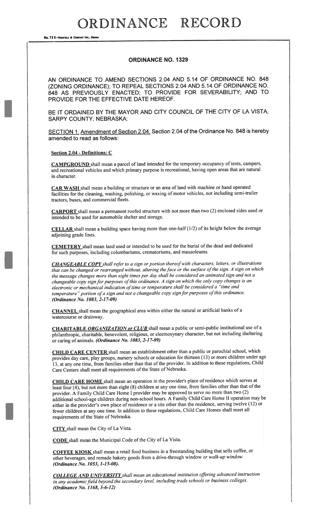No. 72 8-REDFIELD & COMPANY INC., OMAN

### ORDINANCE NO. 1329

AN ORDINANCE TO AMEND SECTIONS 2.04 AND 5.14 OF ORDINANCE NO. 848 (ZONING ORDINANCE); TO REPEAL SECTIONS 2.04 AND 5.14 OF ORDINANCE NO. 848 AS PREVIOUSLY ENACTED; TO PROVIDE FOR SEVERABILITY; AND TO PROVIDE FOR THE EFFECTIVE DATE HEREOF.

BE IT ORDAINED BY THE MAYOR AND CITY COUNCIL OF THE CITY OF LA VISTA, SARPY COUNTY, NEBRASKA:

SECTION 1. Amendment of Section 2.04. Section 2.04 of the Ordinance No. 848 is hereby amended to read as follows:

#### Section 2.04 - Definitions: C

CAMPGROUND shall mean <sup>a</sup> parce<sup>l</sup> of land intended for the temporary occupancy of tents, campers, and recreational vehicles and which primary purpose is recreational, having open areas that are natural in character.

CAR WASH shall mean <sup>a</sup> building or structure or an area of land with machine or hand operated facilities for the cleaning, washing, polishing, or waxing of motor vehicles, not including semi-trailer tractors, buses, and commercial fleets.

CARPORT shall mean a permanent roofed structure with not more than two (2) enclosed sides used or intended to be used for automobile shelter and storage.

CELLAR shall mean a building space having more than one-half (1/2) of its height below the average adjoining grade lines.

CEMETERY shall mean land used or intended to be used for the burial of the dead and dedicated for such purposes, including columbariums, crematoriums, and mausoleums.

CHANGEABLE COPY shall refer to a sign or portion thereof with characters, letters, or illustrations that can be changed or rearranged without, altering the face or the surface of the sign. A sign on which the message changes more than eight times per day shall be considered an animated sign and not <sup>a</sup> changeable copy sign for purposes of this ordinance. A sign on which the only copy changes is an electronic or mechanical indication of time or temperature shall be considered a "time and temperature" portion of a sign and not a changeable copy sign for purposes of this ordinance. (Ordinance No. 1083, 2-1 7-09)

CHANNEL shall mean the geographical area within either the natural or artificial banks of <sup>a</sup> watercourse or drainway.

CHARITABLE ORGANIZATION or CLUB shall mean a public or semi-public institutional use of a <sup>p</sup>hilanthropic, charitable, benevolent, religious, or eleemosynary character, but not including sheltering or caring of animals. (Ordinance No. 1083, 2-17-09)

CHILD CARE CENTER shall mean an establishment other than a public or parochial school, which provides day care, <sup>p</sup>lay groups, nursery schools or education for thirteen (13) or more children under age 13, at any one time, from families other than that of the provider. In addition to these regulations, Child Care Centers shall meet all requirements of the State of Nebraska.

CHILD CARE HOME shall mean an operation in the provider's place of residence which serves at least four (4), but not more than eight (8) children at any one time, from families other than that of the provider. <sup>A</sup> Family Child Care Home <sup>I</sup> provider may be approve<sup>d</sup> to serve no more than two (2) additional school-age children during non-school hours. <sup>A</sup> Family Child Care Home II operation may be either in the provider's own place of residence or a site other than the residence, serving twelve (12) or fewer children at any one time. In addition to these regulations, Child Care Homes shall meet all requirements of the State of Nebraska.

CITY shall mean the City of La Vista.

CODE shall mean the Municipal Code of the City of La Vista.

COFFEE KIOSK shall mean <sup>a</sup> retail food business in <sup>a</sup> freestanding building that sells coffee, or other beverages, and remade bakery goods from <sup>a</sup> drive-through window or walk-up window. (Ordinance No. 1053, 1-15-08).

COLLEGE AND UNIVERSITY shall mean an educational institution offering advanced instruction in any academic field beyond the secondary level, including trade schools or business colleges. (Ordinance No. 1168, 3-6-12)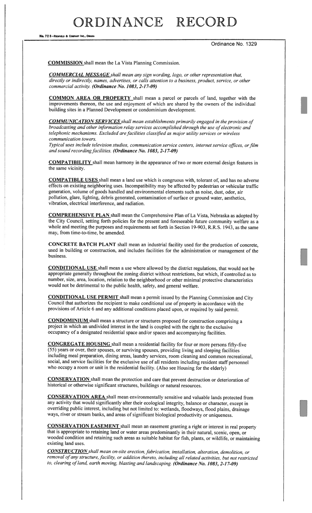No. 72 8-REDFIELD & COMPANY INC., OMAH

Ordinance No. 1329

COMMISSION shall mean the La Vista Planning Commission.

COMMERCIAL MESSAGE shall mean any sign wording, logo, or other representation that, directly or indirectly, names, advertises, or calls attention to <sup>a</sup> business, product, service, or other commercial activity. (Ordinance No. 1083, 2-17-09)

COMMON AREA OR PROPERTY shall mean <sup>a</sup> parcel or parcels of land, together with the improvements thereon, the use and enjoyment of which are shared by the owners of the individual building sites in <sup>a</sup> Planned Development or condominium development.

**COMMUNICATION SERVICES** shall mean establishments primarily engaged in the provision of broadcasting and other information relay services accomplished through the use of electronic and telephonic mechanisms. Excluded are facilities classified as major utility services or wireless communication towers.

Typical uses include television studios, communication service centers, internet service offices, or film and sound recording facilities. (Ordinance No. 1083, 2-17-09)

COMPATIBILITY shall mean harmony in the appearance of two or more external design features in the same vicinity.

COMPATIBLE USES shall mean <sup>a</sup> land use which is congruous with, tolerant of, and has no adverse effects on existing neighboring uses. Incompatibility may be affected by pedestrian or vehicular traffic generation, volume of goods handled and environmental elements such as noise, dust, odor, air pollution, <sup>g</sup>lare, lighting, debris generated, contamination of surface or ground water, aesthetics, vibration, electrical interference, and radiation.

COMPREHENSIVE PLAN shall mean the Comprehensive Plan of La Vista, Nebraska as adopted by the City Council, setting forth policies for the present and foreseeable future community welfare as <sup>a</sup> whole and meeting the purposes and requirements set forth in Section 19-903, R.R.S. 1943, as the same may, from time-to-time, be amended.

CONCRETE BATCH PLANT shall mean an industrial facility used for the production of concrete, used in building or construction, and includes facilities for the administration or management of the business.

CONDITIONAL USE shall mean <sup>a</sup> use where allowed by the district regulations, that would not be appropriate generally throughout the zoning district without restrictions, but which, if controlled as to number, size, area, location, relation to the neighborhood or other minimal protective characteristics would not be detrimental to the public health, safety, and general welfare.

CONDITIONAL USE PERMIT shall mean <sup>a</sup> permit issued by the Planning Commission and City Council that authorizes the recipient to make conditional use of property in accordance with the provisions of Article <sup>6</sup> and any additional conditions <sup>p</sup>laced upon, or required by said permit.

CONDOMINIUM shall mean <sup>a</sup> structure or structures proposed for construction comprising <sup>a</sup> project in which an undivided interest in the land is coupled with the right to the exclusive occupancy of <sup>a</sup> designated residential space and/or spaces and accompanying facilities.

CONGREGATE HOUSING shall mean a residential facility for four or more persons fifty-five (55) years or over, their spouses, or surviving spouses, providing living and sleeping facilities including meal preparation, dining areas, laundry services, room cleaning and common recreational, social, and service facilities for the exclusive use of all residents including resident staff personnel who occupy <sup>a</sup> room or unit in the residential facility. (Also see Housing for the elderly)

CONSERVATION shall mean the protection and care that prevent destruction or deterioration of historical or otherwise significant structures, buildings or natural resources.

CONSERVATION AREA shall mean environmentally sensitive and valuable lands protected from any activity that would significantly alter their ecological integrity, balance or character, except in overriding public interest, including but not limited to: wetlands, floodways, flood <sup>p</sup>lains, drainage ways, river or stream banks, and areas of significant biological productivity or uniqueness.

CONSERVATION EASEMENT shall mean an easement granting <sup>a</sup> right or interest in real property that is appropriate to retaining land or water areas predominantly in their natural, scenic, open, or wooded condition and retaining such areas as suitable habitat for fish, <sup>p</sup>lants, or wildlife, or maintaining existing land uses.

CONSTRUCTION shall mean on-site erection, fabrication, installation, alteration, demolition, or removal of any structure, facility, or addition thereto, including all related activities, but not restricted to, clearing of land, earth moving, blasting and landscaping. (Ordinance No. 1083, 2-17-09)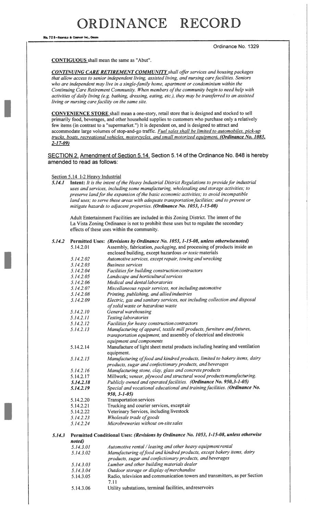No. 72 8-REDFIELD & COMPANY INC., OMAHA

#### Ordinance No. 1329

CONTIGUOUS shall mean the same as "Abut".

CONTINUING CARE RETIREMENT COMMUNITY shall offer services and housing packages that allow access to senior independent living, assisted living, and nursing care facilities. Seniors who are independent may live in a single-family home, apartment or condominium within the Continuing Care Retirement Community. When members of the community begin to need help with activities of daily living (e.g. bathing, dressing, eating, etc.), they may be transferred to an assisted living or nursing care facility on the same site.

CONVENIENCE STORE shall mean a one-story, retail store that is designed and stocked to sell primarily food, beverages, and other household supplies to customers who purchase only a relatively few items (in contrast to a "supermarket.") It is dependent on, and is designed to attract and accommodate large volumes of stop-and-go traffic. Fuel sales shall be limited to automobiles, pick-up trucks, boats, recreational vehicles, motorcycles, and small motorized equipment. (Ordinance No. 1083,  $2 - 17 - 09$ 

SECTION 2. Amendment of Section 5.14. Section 5.14 of the Ordinance No. 848 is hereby amended to read as follows:

#### Section 5.14 **1-2 Heavy Industrial**

5.14.1 Intent: It is the intent of the Heavy Industrial District Regulations to provide for industrial uses and services, including some manufacturing, wholesaling and storage activities; to preserve land for the expansion of the basic economic activities; to avoid incompatible land uses; to serve these areas with adequate transportation facilities; and to prevent or mitigate hazards to adjacent properties. (Ordinance No. 1053, 1-15-08)

Adult Entertainment Facilities are included in this Zoning District. The intent of the La Vista Zoning Ordinance is not to prohibit these uses but to regulate the secondary effects of these uses within the community.

| 5.14.2 |           | Permitted Uses: (Revisions by Ordinance No. 1053, 1-15-08, unless otherwisenoted)                                                                                           |
|--------|-----------|-----------------------------------------------------------------------------------------------------------------------------------------------------------------------------|
|        | 5.14.2.01 | Assembly, fabrication, <i>packaging</i> , and processing of products inside an                                                                                              |
|        |           | enclosed building, except hazardous or toxic materials                                                                                                                      |
|        | 5.14.2.02 | Automotive services, except repair, towing and wrecking                                                                                                                     |
|        | 5.14.2.03 | <b>Business services</b>                                                                                                                                                    |
|        | 5.14.2.04 | Facilities for building construction contractors                                                                                                                            |
|        | 5.14.2.05 | Landscape and horticultural services                                                                                                                                        |
|        | 5.14.2.06 | Medical and dental laboratories                                                                                                                                             |
|        | 5.14.2.07 | Miscellaneous repair services, not including automotive                                                                                                                     |
|        | 5.14.2.08 | Printing, publishing, and allied industries                                                                                                                                 |
|        | 5.14.2.09 | Electric, gas and sanitary services, not including collection and disposal<br>of solid waste or hazardous waste                                                             |
|        | 5.14.2.10 | General warehousing                                                                                                                                                         |
|        | 5.14.2.11 | <b>Testing laboratories</b>                                                                                                                                                 |
|        | 5.14.2.12 | Facilities for heavy construction contractors                                                                                                                               |
|        | 5.14.2.13 | Manufacturing of apparel, textile mill products, furniture and fixtures,<br>transportation equipment, and assembly of electrical and electronic<br>equipment and components |
|        | 5.14.2.14 | Manufacture of light sheet metal products including heating and ventilation<br>equipment.                                                                                   |
|        | 5.14.2.15 | Manufacturing of food and kindred products, limited to bakery items, dairy<br>products, sugar and confectionary products, and beverages                                     |
|        | 5.14.2.16 | Manufacturing stone, clay, glass and concrete products                                                                                                                      |
|        | 5.14.2.17 | Millwork; veneer, plywood and structural wood products manufacturing.                                                                                                       |
|        | 5.14.2.18 | Publicly owned and operated facilities. (Ordinance No. 950,3-1-05)                                                                                                          |
|        | 5.14.2.19 | Special and vocational educational and training facilities. (Ordinance No.<br>$950, 3 - 1 - 05$                                                                             |
|        | 5.14.2.20 | <b>Transportation services</b>                                                                                                                                              |
|        | 5.14.2.21 | Trucking and courier services, except air                                                                                                                                   |
|        | 5.14.2.22 | Veterinary Services, including livestock                                                                                                                                    |
|        | 5.14.2.23 | Wholesale trade of goods                                                                                                                                                    |
|        | 5.14.2.24 | Microbreweries without on-site sales                                                                                                                                        |
| 5.14.3 | noted)    | Permitted Conditional Uses: (Revisions by Ordinance No. 1053, 1-15-08, unless otherwise                                                                                     |
|        | 5.14.3.01 | Automotive rental / leasing and other heavy equipment rental                                                                                                                |
|        | 5.14.3.02 | Manufacturing of food and kindred products, except bakery items, dairy<br>products, sugar and confectionary products, and beverages                                         |
|        | 5.14.3.03 | Lumber and other building materials dealer                                                                                                                                  |
|        | 5.14.3.04 | Outdoor storage or display of merchandise                                                                                                                                   |
|        | 5.14.3.05 | Radio, television and communication towers and transmitters, as per Section<br>7.11                                                                                         |
|        | 5.14.3.06 | Utility substations, terminal facilities, andreservoirs                                                                                                                     |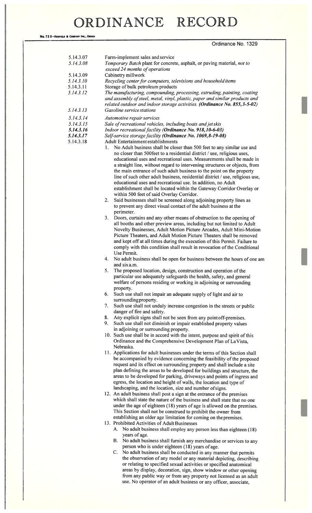| No. 72 8-REDFIELD & COMPANY INC., OMAHA |                                                                                                                                                                                                                                                                                                                                                                                                                                                                                                                         |
|-----------------------------------------|-------------------------------------------------------------------------------------------------------------------------------------------------------------------------------------------------------------------------------------------------------------------------------------------------------------------------------------------------------------------------------------------------------------------------------------------------------------------------------------------------------------------------|
|                                         | Ordinance No. 1329                                                                                                                                                                                                                                                                                                                                                                                                                                                                                                      |
| 5.14.3.07<br>5.14.3.08                  | Farm-implement sales and service<br>Temporary Batch plant for concrete, asphalt, or paving material, not to                                                                                                                                                                                                                                                                                                                                                                                                             |
|                                         | exceed 24 months of operations                                                                                                                                                                                                                                                                                                                                                                                                                                                                                          |
| 5.14.3.09                               | Cabinetry millwork                                                                                                                                                                                                                                                                                                                                                                                                                                                                                                      |
| 5.14.3.10<br>5.14.3.11                  | Recycling center for computers, televisions and household items<br>Storage of bulk petroleum products                                                                                                                                                                                                                                                                                                                                                                                                                   |
| 5.14.3.12                               | The manufacturing, compounding, processing, extruding, painting, coating                                                                                                                                                                                                                                                                                                                                                                                                                                                |
|                                         | and assembly of steel, metal, vinyl, plastic, paper and similar products and<br>related outdoor and indoor storage activities. (Ordinance No. 855,3-5-02)                                                                                                                                                                                                                                                                                                                                                               |
| 5.14.3.13                               | Gasoline service stations                                                                                                                                                                                                                                                                                                                                                                                                                                                                                               |
| 5.14.3.14                               | Automotive repair services                                                                                                                                                                                                                                                                                                                                                                                                                                                                                              |
| 5.14.3.15                               | Sale of recreational vehicles, including boats and jet skis                                                                                                                                                                                                                                                                                                                                                                                                                                                             |
| 5.14.3.16                               | Indoor recreational facility (Ordinance No. 918, 10-6-03)                                                                                                                                                                                                                                                                                                                                                                                                                                                               |
| 5.14.3.17                               | Self-service storage facility (Ordinance No. 1069, 8-19-08)                                                                                                                                                                                                                                                                                                                                                                                                                                                             |
| 5.14.3.18                               | Adult Entertainment establishments<br>No Adult business shall be closer than 500 feet to any similar use and<br>1.<br>no closer than 500 feet to a residential district / use, religious uses,<br>educational uses and recreational uses. Measurements shall be made in<br>a straight line, without regard to intervening structures or objects, from                                                                                                                                                                   |
|                                         | the main entrance of such adult business to the point on the property<br>line of such other adult business, residential district / use, religious use,<br>educational uses and recreational use. In addition, no Adult                                                                                                                                                                                                                                                                                                  |
|                                         | establishment shall be located within the Gateway Corridor Overlay or                                                                                                                                                                                                                                                                                                                                                                                                                                                   |
|                                         | within 500 feet of said Overlay Corridor.                                                                                                                                                                                                                                                                                                                                                                                                                                                                               |
|                                         | Said businesses shall be screened along adjoining property lines as<br>2.<br>to prevent any direct visual contact of the adult business at the<br>perimeter.                                                                                                                                                                                                                                                                                                                                                            |
|                                         | 3.<br>Doors, curtains and any other means of obstruction to the opening of<br>all booths and other preview areas, including but not limited to Adult<br>Novelty Businesses, Adult Motion Picture Arcades, Adult Mini-Motion<br>Picture Theaters, and Adult Motion Picture Theaters shall be removed<br>and kept off at all times during the execution of this Permit. Failure to                                                                                                                                        |
|                                         | comply with this condition shall result in revocation of the Conditional<br>Use Permit.                                                                                                                                                                                                                                                                                                                                                                                                                                 |
|                                         | No adult business shall be open for business between the hours of one am<br>4.<br>and six a.m.                                                                                                                                                                                                                                                                                                                                                                                                                          |
|                                         | 5.<br>The proposed location, design, construction and operation of the<br>particular use adequately safeguards the health, safety, and general<br>welfare of persons residing or working in adjoining or surrounding<br>property.                                                                                                                                                                                                                                                                                       |
|                                         | Such use shall not impair an adequate supply of light and air to<br>6.<br>surrounding property.                                                                                                                                                                                                                                                                                                                                                                                                                         |
|                                         | Such use shall not unduly increase congestion in the streets or public<br>7.<br>danger of fire and safety.                                                                                                                                                                                                                                                                                                                                                                                                              |
|                                         | Any explicit signs shall not be seen from any point off-premises.<br>8.<br>9.<br>Such use shall not diminish or impair established property values                                                                                                                                                                                                                                                                                                                                                                      |
|                                         | in adjoining or surrounding property.<br>10. Such use shall be in accord with the intent, purpose and spirit of this<br>Ordinance and the Comprehensive Development Plan of La Vista,<br>Nebraska.                                                                                                                                                                                                                                                                                                                      |
|                                         | 11. Applications for adult businesses under the terms of this Section shall<br>be accompanied by evidence concerning the feasibility of the proposed<br>request and its effect on surrounding property and shall include a site<br>plan defining the areas to be developed for buildings and structure, the<br>areas to be developed for parking, driveways and points of ingress and<br>egress, the location and height of walls, the location and type of<br>landscaping, and the location, size and number of signs. |
|                                         | 12. An adult business shall post a sign at the entrance of the premises                                                                                                                                                                                                                                                                                                                                                                                                                                                 |
|                                         | which shall state the nature of the business and shall state that no one<br>under the age of eighteen $(18)$ years of age is allowed on the premises                                                                                                                                                                                                                                                                                                                                                                    |

- $(18)$  years of age is allowed on the premises. This Section shall not be construed to prohibit the owner from establishing an older age limitation for coming on the premises.
- 13. Prohibited Activities of Adult Businesses
	- A. No adult business shall employ any person less than eighteen (18) years of age.
	- B. No adult business shall furnish any merchandise or services to any person who is under eighteen (18) years of age.
	- C. No adult business shall be conducted in any manner that permits the observation of any model or any material depicting, describing or relating to specified sexual activities or specified anatomical areas by display, decoration, sign, show window or other opening from any public way or from any property not licensed as an adult use. No operator of an adult business or any officer, associate,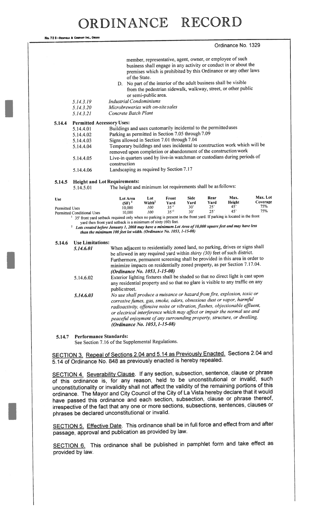#### Ordinance No. 1329

|                       | 5.14.3.19<br>5.14.3.20            | of the State.<br><b>Industrial Condominiums</b><br>Microbreweries with on-site sales                                                                                                                                                                                                                                                                                                              | or semi-public area.      |               |                     |              | member, representative, agent, owner, or employee of such<br>business shall engage in any activity or conduct in or about the<br>premises which is prohibited by this Ordinance or any other laws<br>D. No part of the interior of the adult business shall be visible<br>from the pedestrian sidewalk, walkway, street, or other public |                      |  |  |
|-----------------------|-----------------------------------|---------------------------------------------------------------------------------------------------------------------------------------------------------------------------------------------------------------------------------------------------------------------------------------------------------------------------------------------------------------------------------------------------|---------------------------|---------------|---------------------|--------------|------------------------------------------------------------------------------------------------------------------------------------------------------------------------------------------------------------------------------------------------------------------------------------------------------------------------------------------|----------------------|--|--|
|                       | 5.14.3.21                         | Concrete Batch Plant                                                                                                                                                                                                                                                                                                                                                                              |                           |               |                     |              |                                                                                                                                                                                                                                                                                                                                          |                      |  |  |
| 5.14.4                | <b>Permitted Accessory Uses:</b>  |                                                                                                                                                                                                                                                                                                                                                                                                   |                           |               |                     |              |                                                                                                                                                                                                                                                                                                                                          |                      |  |  |
|                       | 5.14.4.01                         | Buildings and uses customarily incidental to the permitted uses                                                                                                                                                                                                                                                                                                                                   |                           |               |                     |              |                                                                                                                                                                                                                                                                                                                                          |                      |  |  |
|                       | 5.14.4.02                         | Parking as permitted in Section 7.05 through 7.09                                                                                                                                                                                                                                                                                                                                                 |                           |               |                     |              |                                                                                                                                                                                                                                                                                                                                          |                      |  |  |
|                       | 5.14.4.03                         | Signs allowed in Section 7.01 through 7.04                                                                                                                                                                                                                                                                                                                                                        |                           |               |                     |              |                                                                                                                                                                                                                                                                                                                                          |                      |  |  |
|                       | 5.14.4.04                         | Temporary buildings and uses incidental to construction work which will be                                                                                                                                                                                                                                                                                                                        |                           |               |                     |              |                                                                                                                                                                                                                                                                                                                                          |                      |  |  |
|                       |                                   | removed upon completion or abandonment of the construction work                                                                                                                                                                                                                                                                                                                                   |                           |               |                     |              |                                                                                                                                                                                                                                                                                                                                          |                      |  |  |
|                       | 5.14.4.05                         | Live-in quarters used by live-in watchman or custodians during periods of                                                                                                                                                                                                                                                                                                                         |                           |               |                     |              |                                                                                                                                                                                                                                                                                                                                          |                      |  |  |
|                       |                                   | construction                                                                                                                                                                                                                                                                                                                                                                                      |                           |               |                     |              |                                                                                                                                                                                                                                                                                                                                          |                      |  |  |
|                       | 5.14.4.06                         | Landscaping as required by Section 7.17                                                                                                                                                                                                                                                                                                                                                           |                           |               |                     |              |                                                                                                                                                                                                                                                                                                                                          |                      |  |  |
|                       |                                   |                                                                                                                                                                                                                                                                                                                                                                                                   |                           |               |                     |              |                                                                                                                                                                                                                                                                                                                                          |                      |  |  |
| 5.14.5                |                                   | <b>Height and Lot Requirements:</b><br>The height and minimum lot requirements shall be as follows:                                                                                                                                                                                                                                                                                               |                           |               |                     |              |                                                                                                                                                                                                                                                                                                                                          |                      |  |  |
|                       | 5.14.5.01                         |                                                                                                                                                                                                                                                                                                                                                                                                   |                           |               |                     |              |                                                                                                                                                                                                                                                                                                                                          |                      |  |  |
|                       |                                   |                                                                                                                                                                                                                                                                                                                                                                                                   |                           |               |                     |              |                                                                                                                                                                                                                                                                                                                                          |                      |  |  |
| <b>Use</b>            |                                   | <b>Lot Area</b><br>(SF) <sup>2</sup>                                                                                                                                                                                                                                                                                                                                                              | Lot<br>Width <sup>2</sup> | Front<br>Yard | <b>Side</b><br>Yard | Rear<br>Yard | Max.<br>Height                                                                                                                                                                                                                                                                                                                           | Max. Lot<br>Coverage |  |  |
| <b>Permitted Uses</b> |                                   | 10,000                                                                                                                                                                                                                                                                                                                                                                                            | 100                       | $35^{11}$     | $30^{\circ}$        | $25^\circ$   | 45'<br>45'                                                                                                                                                                                                                                                                                                                               | 75%<br>75%           |  |  |
|                       | <b>Permitted Conditional Uses</b> | 10,000                                                                                                                                                                                                                                                                                                                                                                                            | 100                       | $35^{11}$     | $30^{\circ}$        | $25^\circ$   |                                                                                                                                                                                                                                                                                                                                          |                      |  |  |
|                       |                                   | <sup>1</sup> 35' front yard setback required only when no parking is present in the front yard. If parking is located in the front<br>yard then front yard setback is a minimum of sixty (60) feet.<br><sup>2</sup> Lots created before January 1, 2008 may have a minimum Lot Area of 10,000 square feet and may have less<br>than the minimum 100 feet lot width. (Ordinance No. 1053, 1-15-08) |                           |               |                     |              |                                                                                                                                                                                                                                                                                                                                          |                      |  |  |
| 5.14.6                | <b>Use Limitations:</b>           |                                                                                                                                                                                                                                                                                                                                                                                                   |                           |               |                     |              |                                                                                                                                                                                                                                                                                                                                          |                      |  |  |
|                       | 5.14.6.01                         | When adjacent to residentially zoned land, no parking, drives or signs shall                                                                                                                                                                                                                                                                                                                      |                           |               |                     |              |                                                                                                                                                                                                                                                                                                                                          |                      |  |  |
|                       |                                   | be allowed in any required yard within thirty (30) feet of such district.<br>Furthermore, permanent screening shall be provided in this area in order to                                                                                                                                                                                                                                          |                           |               |                     |              |                                                                                                                                                                                                                                                                                                                                          |                      |  |  |
|                       |                                   | minimize impacts on residentially zoned property, as per Section 7.17.04.                                                                                                                                                                                                                                                                                                                         |                           |               |                     |              |                                                                                                                                                                                                                                                                                                                                          |                      |  |  |
|                       |                                   | (Ordinance No. 1053, 1-15-08)                                                                                                                                                                                                                                                                                                                                                                     |                           |               |                     |              |                                                                                                                                                                                                                                                                                                                                          |                      |  |  |
|                       | 5.14.6.02                         | Exterior lighting fixtures shall be shaded so that no direct light is cast upon<br>any residential property and so that no glare is visible to any traffic on any<br>public street.<br>No use shall produce a nuisance or hazard from fire, explosion, toxic or                                                                                                                                   |                           |               |                     |              |                                                                                                                                                                                                                                                                                                                                          |                      |  |  |

5.14.7 Performance Standards:

No. 72 8-REDFIELD & COMPANY INC., OMAHA

See Section 7.16 of the Supplemental Regulations.

SECTION 3. Repeal of Sections 2.04 and 5.14 as Previously Enacted. Sections 2.04 and 5.14 of Ordinance No. <sup>848</sup> as previously enacted is hereby repealed.

SECTION 4. Severability Clause. If any section, subsection, sentence, clause or phrase of this ordinance is, for any reason, held to be unconstitutional or invalid, such unconstitutionality or invalidity shall not affect the validity of the remaining portions of this ordinance. The Mayor and City Council of the City of La Vista hereby declare that it would have passe<sup>d</sup> this ordinance and each section, subsection, clause or <sup>p</sup>hrase thereof, irrespective of the fact that any one or more sections, subsections, sentences, clauses or <sup>p</sup>hrases be declared unconstitutional or invalid.

SECTION 5. Effective Date. This ordinance shall be in full force and effect from and after passage, approva<sup>l</sup> and publication as provided by law.

SECTION 6. This ordinance shall be published in pamphlet form and take effect as provided by law.